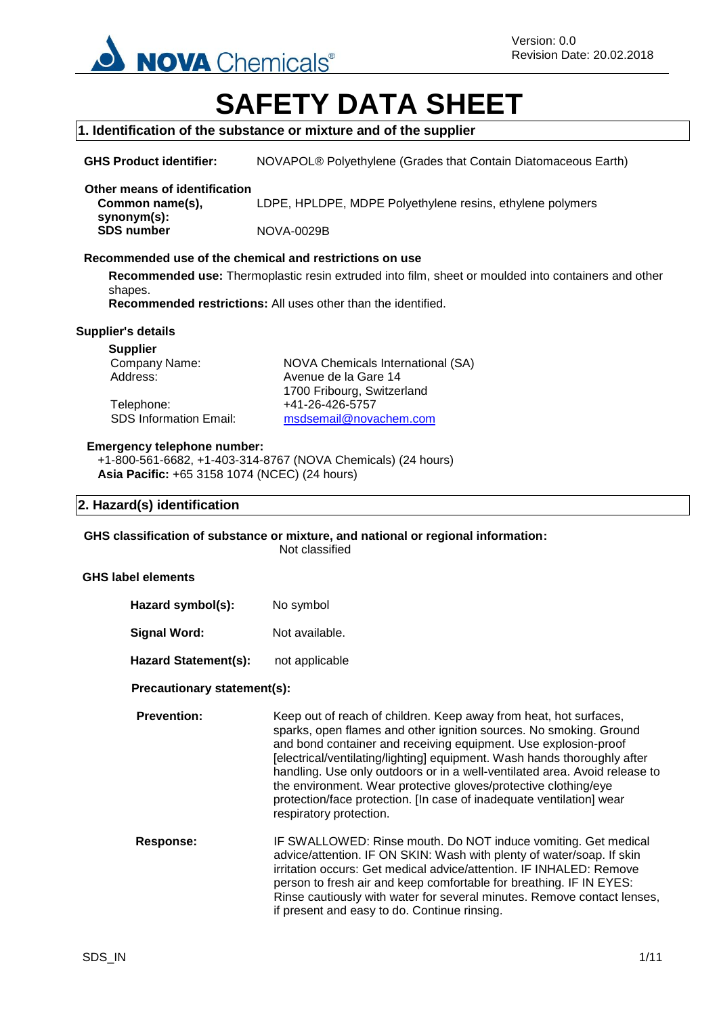

# **SAFETY DATA SHEET**

#### **1. Identification of the substance or mixture and of the supplier**

**GHS Product identifier:** NOVAPOL® Polyethylene (Grades that Contain Diatomaceous Earth)

#### **Other means of identification Common name(s),**

**synonym(s):** LDPE, HPLDPE, MDPE Polyethylene resins, ethylene polymers

**SDS number** NOVA-0029B

#### **Recommended use of the chemical and restrictions on use**

**Recommended use:** Thermoplastic resin extruded into film, sheet or moulded into containers and other shapes.

**Recommended restrictions:** All uses other than the identified.

#### **Supplier's details**

**Supplier**

Telephone: +41-26-426-5757<br>SDS Information Email: msdsemail@nova

Company Name: NOVA Chemicals International (SA) Address: Avenue de la Gare 14 1700 Fribourg, Switzerland [msdsemail@novachem.com](mailto:msdsemail@novachem.com)

#### **Emergency telephone number:**

+1-800-561-6682, +1-403-314-8767 (NOVA Chemicals) (24 hours) **Asia Pacific:** +65 3158 1074 (NCEC) (24 hours)

#### **2. Hazard(s) identification**

**GHS classification of substance or mixture, and national or regional information:**

Not classified

#### **GHS label elements**

| Hazard symbol(s):           | No symbol      |
|-----------------------------|----------------|
| Signal Word:                | Not available. |
| <b>Hazard Statement(s):</b> | not applicable |

#### **Precautionary statement(s):**

**Prevention:** Keep out of reach of children. Keep away from heat, hot surfaces, sparks, open flames and other ignition sources. No smoking. Ground and bond container and receiving equipment. Use explosion-proof [electrical/ventilating/lighting] equipment. Wash hands thoroughly after handling. Use only outdoors or in a well-ventilated area. Avoid release to the environment. Wear protective gloves/protective clothing/eye protection/face protection. [In case of inadequate ventilation] wear respiratory protection.

**Response:** IF SWALLOWED: Rinse mouth. Do NOT induce vomiting. Get medical advice/attention. IF ON SKIN: Wash with plenty of water/soap. If skin irritation occurs: Get medical advice/attention. IF INHALED: Remove person to fresh air and keep comfortable for breathing. IF IN EYES: Rinse cautiously with water for several minutes. Remove contact lenses, if present and easy to do. Continue rinsing.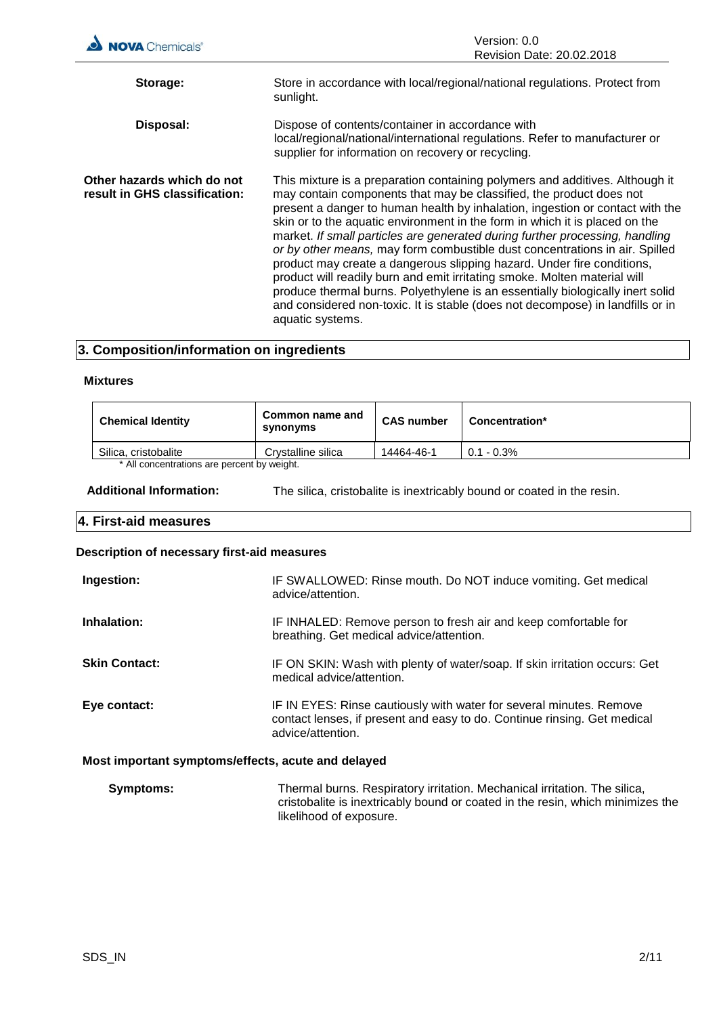| <b>NOVA</b> Chemicals®                                      | Version: 0.0<br>Revision Date: 20.02.2018                                                                                                                                                                                                                                                                                                                                                                                                                                                                                                                                                                                                                                                                                                                                                                                         |
|-------------------------------------------------------------|-----------------------------------------------------------------------------------------------------------------------------------------------------------------------------------------------------------------------------------------------------------------------------------------------------------------------------------------------------------------------------------------------------------------------------------------------------------------------------------------------------------------------------------------------------------------------------------------------------------------------------------------------------------------------------------------------------------------------------------------------------------------------------------------------------------------------------------|
| Storage:                                                    | Store in accordance with local/regional/national regulations. Protect from<br>sunlight.                                                                                                                                                                                                                                                                                                                                                                                                                                                                                                                                                                                                                                                                                                                                           |
| Disposal:                                                   | Dispose of contents/container in accordance with<br>local/regional/national/international regulations. Refer to manufacturer or<br>supplier for information on recovery or recycling.                                                                                                                                                                                                                                                                                                                                                                                                                                                                                                                                                                                                                                             |
| Other hazards which do not<br>result in GHS classification: | This mixture is a preparation containing polymers and additives. Although it<br>may contain components that may be classified, the product does not<br>present a danger to human health by inhalation, ingestion or contact with the<br>skin or to the aquatic environment in the form in which it is placed on the<br>market. If small particles are generated during further processing, handling<br>or by other means, may form combustible dust concentrations in air. Spilled<br>product may create a dangerous slipping hazard. Under fire conditions,<br>product will readily burn and emit irritating smoke. Molten material will<br>produce thermal burns. Polyethylene is an essentially biologically inert solid<br>and considered non-toxic. It is stable (does not decompose) in landfills or in<br>aquatic systems. |

## **3. Composition/information on ingredients**

#### **Mixtures**

| <b>Chemical Identity</b>                   | Common name and<br>synonyms | <b>CAS number</b> | <b>Concentration*</b> |
|--------------------------------------------|-----------------------------|-------------------|-----------------------|
| Silica, cristobalite                       | Crystalline silica          | 14464-46-1        | $0.1 - 0.3\%$         |
| * All concentrations are nercent by weight |                             |                   |                       |

All concentrations are percent by weight.

**Additional Information:** The silica, cristobalite is inextricably bound or coated in the resin.

## **4. First-aid measures**

## **Description of necessary first-aid measures**

| Ingestion:                                         | IF SWALLOWED: Rinse mouth. Do NOT induce vomiting. Get medical<br>advice/attention.                                                                                  |
|----------------------------------------------------|----------------------------------------------------------------------------------------------------------------------------------------------------------------------|
| Inhalation:                                        | IF INHALED: Remove person to fresh air and keep comfortable for<br>breathing. Get medical advice/attention.                                                          |
| <b>Skin Contact:</b>                               | IF ON SKIN: Wash with plenty of water/soap. If skin irritation occurs: Get<br>medical advice/attention.                                                              |
| Eye contact:                                       | IF IN EYES: Rinse cautiously with water for several minutes. Remove<br>contact lenses, if present and easy to do. Continue rinsing. Get medical<br>advice/attention. |
| Most important symptoms/effects, acute and delayed |                                                                                                                                                                      |

| <b>Symptoms:</b> | Thermal burns. Respiratory irritation. Mechanical irritation. The silica,      |
|------------------|--------------------------------------------------------------------------------|
|                  | cristobalite is inextricably bound or coated in the resin, which minimizes the |
|                  | likelihood of exposure.                                                        |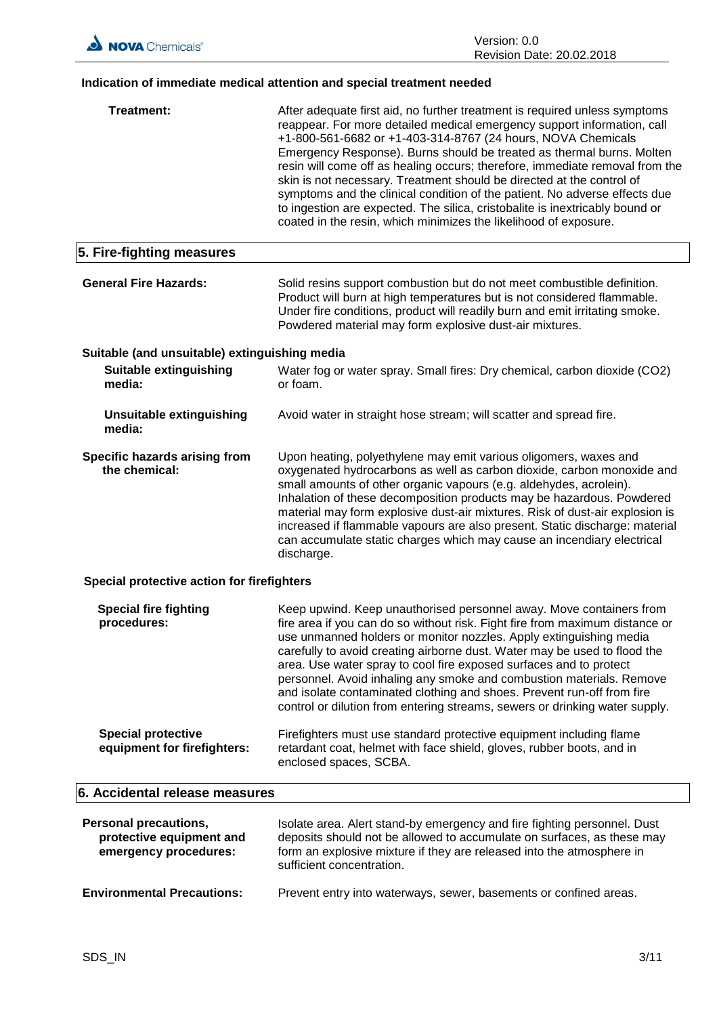## **Indication of immediate medical attention and special treatment needed**

| <b>Treatment:</b>                                                                 | After adequate first aid, no further treatment is required unless symptoms<br>reappear. For more detailed medical emergency support information, call<br>+1-800-561-6682 or +1-403-314-8767 (24 hours, NOVA Chemicals<br>Emergency Response). Burns should be treated as thermal burns. Molten<br>resin will come off as healing occurs; therefore, immediate removal from the<br>skin is not necessary. Treatment should be directed at the control of<br>symptoms and the clinical condition of the patient. No adverse effects due<br>to ingestion are expected. The silica, cristobalite is inextricably bound or<br>coated in the resin, which minimizes the likelihood of exposure. |
|-----------------------------------------------------------------------------------|-------------------------------------------------------------------------------------------------------------------------------------------------------------------------------------------------------------------------------------------------------------------------------------------------------------------------------------------------------------------------------------------------------------------------------------------------------------------------------------------------------------------------------------------------------------------------------------------------------------------------------------------------------------------------------------------|
| 5. Fire-fighting measures                                                         |                                                                                                                                                                                                                                                                                                                                                                                                                                                                                                                                                                                                                                                                                           |
| <b>General Fire Hazards:</b>                                                      | Solid resins support combustion but do not meet combustible definition.<br>Product will burn at high temperatures but is not considered flammable.<br>Under fire conditions, product will readily burn and emit irritating smoke.<br>Powdered material may form explosive dust-air mixtures.                                                                                                                                                                                                                                                                                                                                                                                              |
| Suitable (and unsuitable) extinguishing media                                     |                                                                                                                                                                                                                                                                                                                                                                                                                                                                                                                                                                                                                                                                                           |
| <b>Suitable extinguishing</b><br>media:                                           | Water fog or water spray. Small fires: Dry chemical, carbon dioxide (CO2)<br>or foam.                                                                                                                                                                                                                                                                                                                                                                                                                                                                                                                                                                                                     |
| <b>Unsuitable extinguishing</b><br>media:                                         | Avoid water in straight hose stream; will scatter and spread fire.                                                                                                                                                                                                                                                                                                                                                                                                                                                                                                                                                                                                                        |
| Specific hazards arising from<br>the chemical:                                    | Upon heating, polyethylene may emit various oligomers, waxes and<br>oxygenated hydrocarbons as well as carbon dioxide, carbon monoxide and<br>small amounts of other organic vapours (e.g. aldehydes, acrolein).<br>Inhalation of these decomposition products may be hazardous. Powdered<br>material may form explosive dust-air mixtures. Risk of dust-air explosion is<br>increased if flammable vapours are also present. Static discharge: material<br>can accumulate static charges which may cause an incendiary electrical<br>discharge.                                                                                                                                          |
| Special protective action for firefighters                                        |                                                                                                                                                                                                                                                                                                                                                                                                                                                                                                                                                                                                                                                                                           |
| <b>Special fire fighting</b><br>procedures:                                       | Keep upwind. Keep unauthorised personnel away. Move containers from<br>fire area if you can do so without risk. Fight fire from maximum distance or<br>use unmanned holders or monitor nozzles. Apply extinguishing media<br>carefully to avoid creating airborne dust. Water may be used to flood the<br>area. Use water spray to cool fire exposed surfaces and to protect<br>personnel. Avoid inhaling any smoke and combustion materials. Remove<br>and isolate contaminated clothing and shoes. Prevent run-off from fire<br>control or dilution from entering streams, sewers or drinking water supply.                                                                             |
| <b>Special protective</b><br>equipment for firefighters:                          | Firefighters must use standard protective equipment including flame<br>retardant coat, helmet with face shield, gloves, rubber boots, and in<br>enclosed spaces, SCBA.                                                                                                                                                                                                                                                                                                                                                                                                                                                                                                                    |
| 6. Accidental release measures                                                    |                                                                                                                                                                                                                                                                                                                                                                                                                                                                                                                                                                                                                                                                                           |
| <b>Personal precautions,</b><br>protective equipment and<br>emergency procedures: | Isolate area. Alert stand-by emergency and fire fighting personnel. Dust<br>deposits should not be allowed to accumulate on surfaces, as these may<br>form an explosive mixture if they are released into the atmosphere in<br>sufficient concentration.                                                                                                                                                                                                                                                                                                                                                                                                                                  |

 $\overline{\phantom{a}}$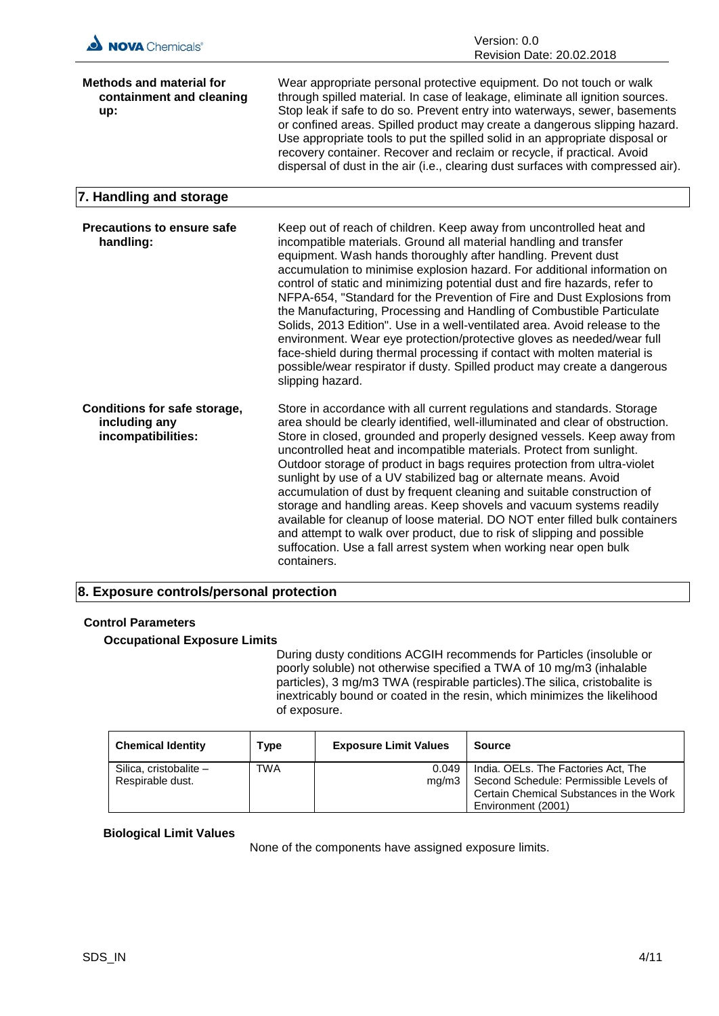| NOVA Chemicals®                                                            | Version: 0.0<br>Revision Date: 20.02.2018                                                                                                                                                                                                                                                                                                                                                                                                                                                                                                                                                                                                                                                                                                                                                                                                                    |
|----------------------------------------------------------------------------|--------------------------------------------------------------------------------------------------------------------------------------------------------------------------------------------------------------------------------------------------------------------------------------------------------------------------------------------------------------------------------------------------------------------------------------------------------------------------------------------------------------------------------------------------------------------------------------------------------------------------------------------------------------------------------------------------------------------------------------------------------------------------------------------------------------------------------------------------------------|
| <b>Methods and material for</b><br>containment and cleaning<br>up:         | Wear appropriate personal protective equipment. Do not touch or walk<br>through spilled material. In case of leakage, eliminate all ignition sources.<br>Stop leak if safe to do so. Prevent entry into waterways, sewer, basements<br>or confined areas. Spilled product may create a dangerous slipping hazard.<br>Use appropriate tools to put the spilled solid in an appropriate disposal or<br>recovery container. Recover and reclaim or recycle, if practical. Avoid<br>dispersal of dust in the air (i.e., clearing dust surfaces with compressed air).                                                                                                                                                                                                                                                                                             |
| 7. Handling and storage                                                    |                                                                                                                                                                                                                                                                                                                                                                                                                                                                                                                                                                                                                                                                                                                                                                                                                                                              |
| <b>Precautions to ensure safe</b><br>handling:                             | Keep out of reach of children. Keep away from uncontrolled heat and<br>incompatible materials. Ground all material handling and transfer<br>equipment. Wash hands thoroughly after handling. Prevent dust<br>accumulation to minimise explosion hazard. For additional information on<br>control of static and minimizing potential dust and fire hazards, refer to<br>NFPA-654, "Standard for the Prevention of Fire and Dust Explosions from<br>the Manufacturing, Processing and Handling of Combustible Particulate<br>Solids, 2013 Edition". Use in a well-ventilated area. Avoid release to the<br>environment. Wear eye protection/protective gloves as needed/wear full<br>face-shield during thermal processing if contact with molten material is<br>possible/wear respirator if dusty. Spilled product may create a dangerous<br>slipping hazard. |
| <b>Conditions for safe storage,</b><br>including any<br>incompatibilities: | Store in accordance with all current regulations and standards. Storage<br>area should be clearly identified, well-illuminated and clear of obstruction.<br>Store in closed, grounded and properly designed vessels. Keep away from<br>uncontrolled heat and incompatible materials. Protect from sunlight.<br>Outdoor storage of product in bags requires protection from ultra-violet<br>sunlight by use of a UV stabilized bag or alternate means. Avoid<br>accumulation of dust by frequent cleaning and suitable construction of<br>storage and handling areas. Keep shovels and vacuum systems readily<br>available for cleanup of loose material. DO NOT enter filled bulk containers<br>and attempt to walk over product, due to risk of slipping and possible<br>suffocation. Use a fall arrest system when working near open bulk<br>containers.   |

#### **8. Exposure controls/personal protection**

#### **Control Parameters**

## **Occupational Exposure Limits**

During dusty conditions ACGIH recommends for Particles (insoluble or poorly soluble) not otherwise specified a TWA of 10 mg/m3 (inhalable particles), 3 mg/m3 TWA (respirable particles).The silica, cristobalite is inextricably bound or coated in the resin, which minimizes the likelihood of exposure.

| <b>Chemical Identity</b>                   | Type       | <b>Exposure Limit Values</b> | Source                                                                                                                                         |
|--------------------------------------------|------------|------------------------------|------------------------------------------------------------------------------------------------------------------------------------------------|
| Silica, cristobalite -<br>Respirable dust. | <b>TWA</b> | 0.049<br>ma/m3               | India. OELs. The Factories Act, The<br>Second Schedule: Permissible Levels of<br>Certain Chemical Substances in the Work<br>Environment (2001) |

#### **Biological Limit Values**

None of the components have assigned exposure limits.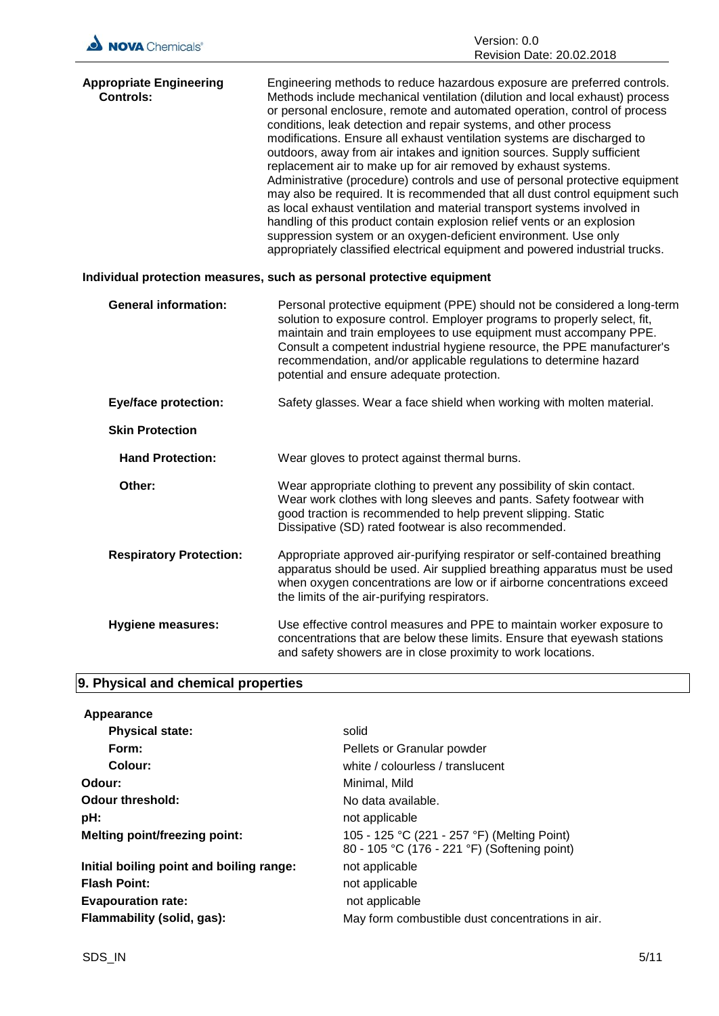| NOVA Chemicals®                                                       | Version: 0.0                                                                                                                                                                                                                                                                                                                                                                                                                                                                                                                                                                                                                                                                                                                                                                                                                                                                                                                                                                                              |  |
|-----------------------------------------------------------------------|-----------------------------------------------------------------------------------------------------------------------------------------------------------------------------------------------------------------------------------------------------------------------------------------------------------------------------------------------------------------------------------------------------------------------------------------------------------------------------------------------------------------------------------------------------------------------------------------------------------------------------------------------------------------------------------------------------------------------------------------------------------------------------------------------------------------------------------------------------------------------------------------------------------------------------------------------------------------------------------------------------------|--|
|                                                                       | Revision Date: 20.02.2018                                                                                                                                                                                                                                                                                                                                                                                                                                                                                                                                                                                                                                                                                                                                                                                                                                                                                                                                                                                 |  |
| <b>Appropriate Engineering</b><br>Controls:                           | Engineering methods to reduce hazardous exposure are preferred controls.<br>Methods include mechanical ventilation (dilution and local exhaust) process<br>or personal enclosure, remote and automated operation, control of process<br>conditions, leak detection and repair systems, and other process<br>modifications. Ensure all exhaust ventilation systems are discharged to<br>outdoors, away from air intakes and ignition sources. Supply sufficient<br>replacement air to make up for air removed by exhaust systems.<br>Administrative (procedure) controls and use of personal protective equipment<br>may also be required. It is recommended that all dust control equipment such<br>as local exhaust ventilation and material transport systems involved in<br>handling of this product contain explosion relief vents or an explosion<br>suppression system or an oxygen-deficient environment. Use only<br>appropriately classified electrical equipment and powered industrial trucks. |  |
| Individual protection measures, such as personal protective equipment |                                                                                                                                                                                                                                                                                                                                                                                                                                                                                                                                                                                                                                                                                                                                                                                                                                                                                                                                                                                                           |  |
| <b>General information:</b>                                           | Personal protective equipment (PPE) should not be considered a long-term<br>solution to exposure control. Employer programs to properly select, fit,<br>maintain and train employees to use equipment must accompany PPE.<br>Consult a competent industrial hygiene resource, the PPE manufacturer's<br>recommendation, and/or applicable regulations to determine hazard<br>potential and ensure adequate protection.                                                                                                                                                                                                                                                                                                                                                                                                                                                                                                                                                                                    |  |
| <b>Eye/face protection:</b>                                           | Safety glasses. Wear a face shield when working with molten material.                                                                                                                                                                                                                                                                                                                                                                                                                                                                                                                                                                                                                                                                                                                                                                                                                                                                                                                                     |  |
| <b>Skin Protection</b>                                                |                                                                                                                                                                                                                                                                                                                                                                                                                                                                                                                                                                                                                                                                                                                                                                                                                                                                                                                                                                                                           |  |
| <b>Hand Protection:</b>                                               | Wear gloves to protect against thermal burns.                                                                                                                                                                                                                                                                                                                                                                                                                                                                                                                                                                                                                                                                                                                                                                                                                                                                                                                                                             |  |
| Other:                                                                | Wear appropriate clothing to prevent any possibility of skin contact.<br>Wear work clothes with long sleeves and pants. Safety footwear with<br>good traction is recommended to help prevent slipping. Static<br>Dissipative (SD) rated footwear is also recommended.                                                                                                                                                                                                                                                                                                                                                                                                                                                                                                                                                                                                                                                                                                                                     |  |
| <b>Respiratory Protection:</b>                                        | Appropriate approved air-purifying respirator or self-contained breathing<br>apparatus should be used. Air supplied breathing apparatus must be used<br>when oxygen concentrations are low or if airborne concentrations exceed<br>the limits of the air-purifying respirators.                                                                                                                                                                                                                                                                                                                                                                                                                                                                                                                                                                                                                                                                                                                           |  |
| <b>Hygiene measures:</b>                                              | Use effective control measures and PPE to maintain worker exposure to<br>concentrations that are below these limits. Ensure that eyewash stations<br>and safety showers are in close proximity to work locations.                                                                                                                                                                                                                                                                                                                                                                                                                                                                                                                                                                                                                                                                                                                                                                                         |  |

# **9. Physical and chemical properties**

| Appearance                               |                                                                                             |
|------------------------------------------|---------------------------------------------------------------------------------------------|
| <b>Physical state:</b>                   | solid                                                                                       |
| Form:                                    | Pellets or Granular powder                                                                  |
| Colour:                                  | white / colourless / translucent                                                            |
| Odour:                                   | Minimal, Mild                                                                               |
| Odour threshold:                         | No data available.                                                                          |
| pH:                                      | not applicable                                                                              |
| <b>Melting point/freezing point:</b>     | 105 - 125 °C (221 - 257 °F) (Melting Point)<br>80 - 105 °C (176 - 221 °F) (Softening point) |
| Initial boiling point and boiling range: | not applicable                                                                              |
| <b>Flash Point:</b>                      | not applicable                                                                              |
| <b>Evapouration rate:</b>                | not applicable                                                                              |
| Flammability (solid, gas):               | May form combustible dust concentrations in air.                                            |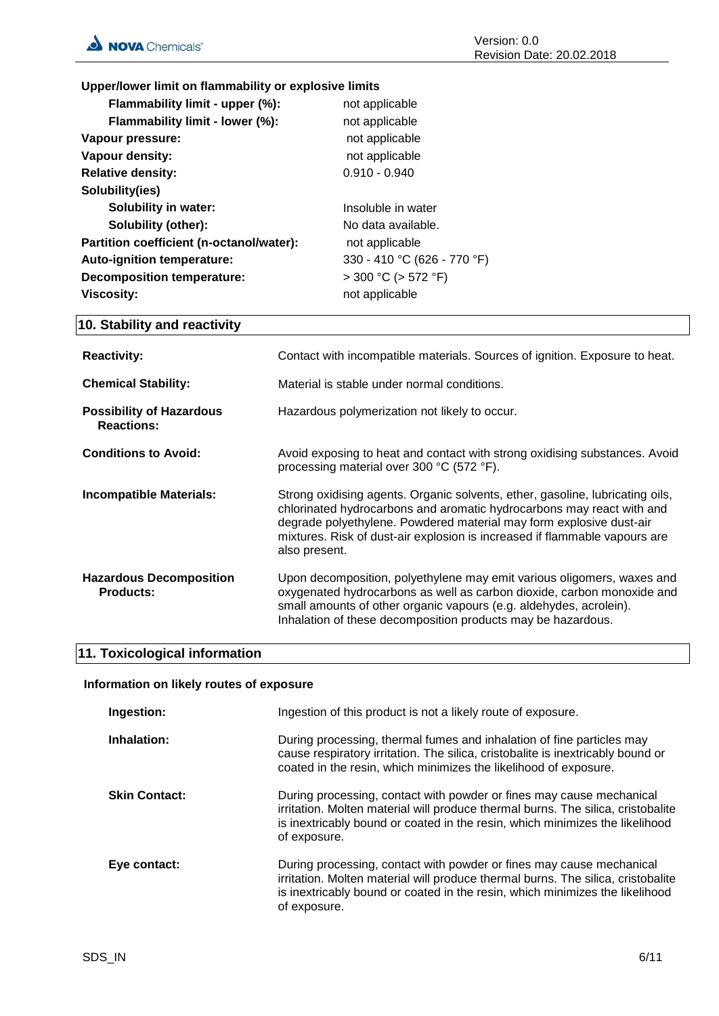**Upper/lower limit on flammability or explosive limits**

| Flammability limit - upper (%):          | not applicable              |
|------------------------------------------|-----------------------------|
| Flammability limit - lower (%):          | not applicable              |
| Vapour pressure:                         | not applicable              |
| Vapour density:                          | not applicable              |
| <b>Relative density:</b>                 | $0.910 - 0.940$             |
| Solubility(ies)                          |                             |
| Solubility in water:                     | Insoluble in water          |
| <b>Solubility (other):</b>               | No data available.          |
| Partition coefficient (n-octanol/water): | not applicable              |
| Auto-ignition temperature:               | 330 - 410 °C (626 - 770 °F) |
| <b>Decomposition temperature:</b>        | $>$ 300 °C ( $>$ 572 °F)    |
| <b>Viscosity:</b>                        | not applicable              |
|                                          |                             |

## **10. Stability and reactivity**

| <b>Reactivity:</b>                                   | Contact with incompatible materials. Sources of ignition. Exposure to heat.                                                                                                                                                                                                                                                  |
|------------------------------------------------------|------------------------------------------------------------------------------------------------------------------------------------------------------------------------------------------------------------------------------------------------------------------------------------------------------------------------------|
| <b>Chemical Stability:</b>                           | Material is stable under normal conditions.                                                                                                                                                                                                                                                                                  |
| <b>Possibility of Hazardous</b><br><b>Reactions:</b> | Hazardous polymerization not likely to occur.                                                                                                                                                                                                                                                                                |
| <b>Conditions to Avoid:</b>                          | Avoid exposing to heat and contact with strong oxidising substances. Avoid<br>processing material over 300 °C (572 °F).                                                                                                                                                                                                      |
| <b>Incompatible Materials:</b>                       | Strong oxidising agents. Organic solvents, ether, gasoline, lubricating oils,<br>chlorinated hydrocarbons and aromatic hydrocarbons may react with and<br>degrade polyethylene. Powdered material may form explosive dust-air<br>mixtures. Risk of dust-air explosion is increased if flammable vapours are<br>also present. |
| <b>Hazardous Decomposition</b><br><b>Products:</b>   | Upon decomposition, polyethylene may emit various oligomers, waxes and<br>oxygenated hydrocarbons as well as carbon dioxide, carbon monoxide and<br>small amounts of other organic vapours (e.g. aldehydes, acrolein).<br>Inhalation of these decomposition products may be hazardous.                                       |

## **11. Toxicological information**

#### **Information on likely routes of exposure**

| Ingestion:           | Ingestion of this product is not a likely route of exposure.                                                                                                                                                                                             |
|----------------------|----------------------------------------------------------------------------------------------------------------------------------------------------------------------------------------------------------------------------------------------------------|
| Inhalation:          | During processing, thermal fumes and inhalation of fine particles may<br>cause respiratory irritation. The silica, cristobalite is inextricably bound or<br>coated in the resin, which minimizes the likelihood of exposure.                             |
| <b>Skin Contact:</b> | During processing, contact with powder or fines may cause mechanical<br>irritation. Molten material will produce thermal burns. The silica, cristobalite<br>is inextricably bound or coated in the resin, which minimizes the likelihood<br>of exposure. |
| Eye contact:         | During processing, contact with powder or fines may cause mechanical<br>irritation. Molten material will produce thermal burns. The silica, cristobalite<br>is inextricably bound or coated in the resin, which minimizes the likelihood<br>of exposure. |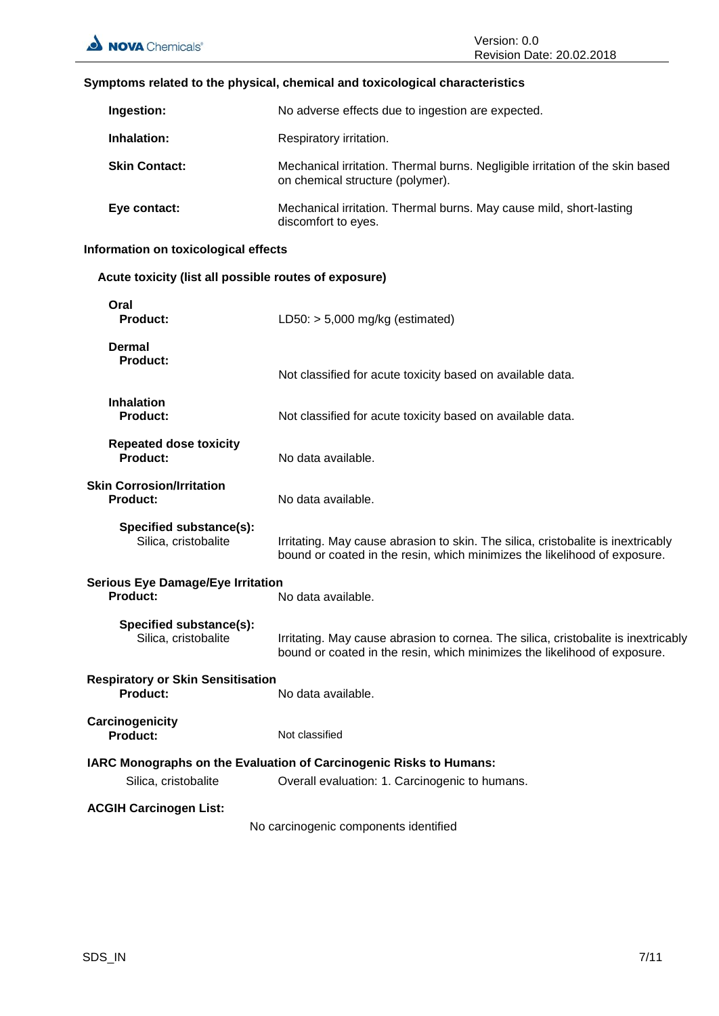#### **Symptoms related to the physical, chemical and toxicological characteristics**

| Ingestion:           | No adverse effects due to ingestion are expected.                                                                 |
|----------------------|-------------------------------------------------------------------------------------------------------------------|
| Inhalation:          | Respiratory irritation.                                                                                           |
| <b>Skin Contact:</b> | Mechanical irritation. Thermal burns. Negligible irritation of the skin based<br>on chemical structure (polymer). |
| Eye contact:         | Mechanical irritation. Thermal burns. May cause mild, short-lasting<br>discomfort to eyes.                        |

## **Information on toxicological effects**

## **Acute toxicity (list all possible routes of exposure)**

| Oral<br>Product:                                            | LD50: $> 5,000$ mg/kg (estimated)                                                                                                                               |
|-------------------------------------------------------------|-----------------------------------------------------------------------------------------------------------------------------------------------------------------|
| <b>Dermal</b><br>Product:                                   | Not classified for acute toxicity based on available data.                                                                                                      |
| <b>Inhalation</b><br><b>Product:</b>                        | Not classified for acute toxicity based on available data.                                                                                                      |
| <b>Repeated dose toxicity</b><br><b>Product:</b>            | No data available.                                                                                                                                              |
| <b>Skin Corrosion/Irritation</b><br><b>Product:</b>         | No data available.                                                                                                                                              |
| Specified substance(s):<br>Silica, cristobalite             | Irritating. May cause abrasion to skin. The silica, cristobalite is inextricably<br>bound or coated in the resin, which minimizes the likelihood of exposure.   |
| <b>Serious Eye Damage/Eye Irritation</b><br><b>Product:</b> | No data available.                                                                                                                                              |
| Specified substance(s):<br>Silica, cristobalite             | Irritating. May cause abrasion to cornea. The silica, cristobalite is inextricably<br>bound or coated in the resin, which minimizes the likelihood of exposure. |
| <b>Respiratory or Skin Sensitisation</b><br>Product:        | No data available.                                                                                                                                              |
| Carcinogenicity<br><b>Product:</b>                          | Not classified                                                                                                                                                  |
| Silica, cristobalite                                        | <b>IARC Monographs on the Evaluation of Carcinogenic Risks to Humans:</b><br>Overall evaluation: 1. Carcinogenic to humans.                                     |
| <b>ACGIH Carcinogen List:</b>                               | No carcinogenic components identified                                                                                                                           |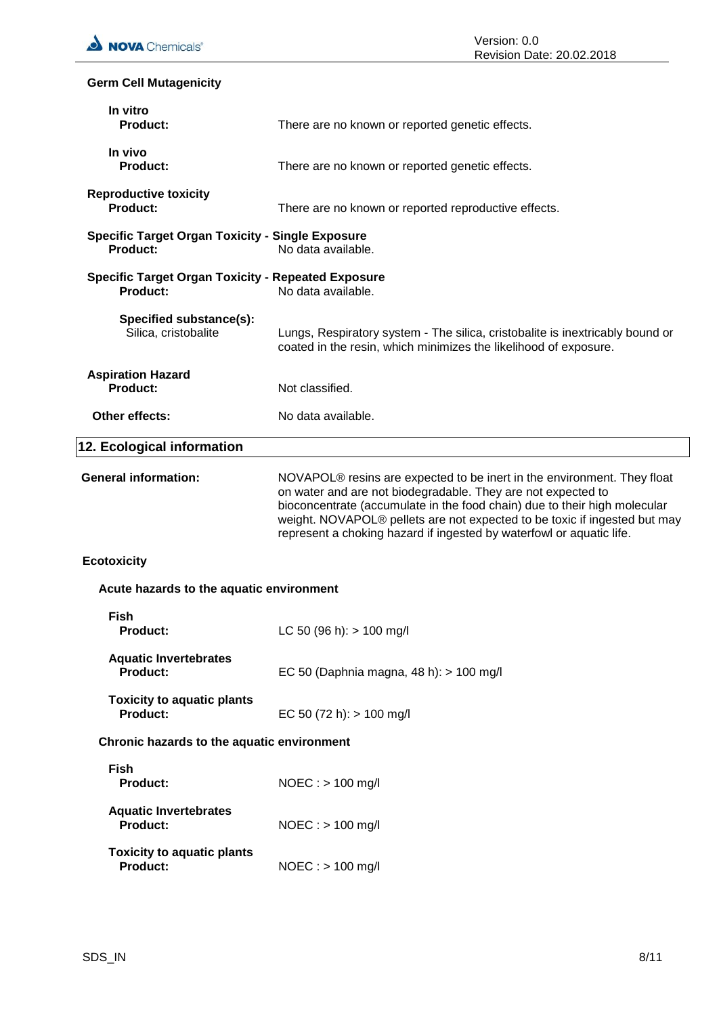## **Germ Cell Mutagenicity**

| In vitro<br><b>Product:</b>                                                  | There are no known or reported genetic effects.                                                                                                                                                                                                                                                                                                                                       |
|------------------------------------------------------------------------------|---------------------------------------------------------------------------------------------------------------------------------------------------------------------------------------------------------------------------------------------------------------------------------------------------------------------------------------------------------------------------------------|
| In vivo<br><b>Product:</b>                                                   | There are no known or reported genetic effects.                                                                                                                                                                                                                                                                                                                                       |
| <b>Reproductive toxicity</b><br>Product:                                     | There are no known or reported reproductive effects.                                                                                                                                                                                                                                                                                                                                  |
| <b>Specific Target Organ Toxicity - Single Exposure</b><br><b>Product:</b>   | No data available.                                                                                                                                                                                                                                                                                                                                                                    |
| <b>Specific Target Organ Toxicity - Repeated Exposure</b><br><b>Product:</b> | No data available.                                                                                                                                                                                                                                                                                                                                                                    |
| Specified substance(s):<br>Silica, cristobalite                              | Lungs, Respiratory system - The silica, cristobalite is inextricably bound or<br>coated in the resin, which minimizes the likelihood of exposure.                                                                                                                                                                                                                                     |
| <b>Aspiration Hazard</b><br>Product:                                         | Not classified.                                                                                                                                                                                                                                                                                                                                                                       |
| Other effects:                                                               | No data available.                                                                                                                                                                                                                                                                                                                                                                    |
| 12. Ecological information                                                   |                                                                                                                                                                                                                                                                                                                                                                                       |
| <b>General information:</b>                                                  | NOVAPOL <sup>®</sup> resins are expected to be inert in the environment. They float<br>on water and are not biodegradable. They are not expected to<br>bioconcentrate (accumulate in the food chain) due to their high molecular<br>weight. NOVAPOL® pellets are not expected to be toxic if ingested but may<br>represent a choking hazard if ingested by waterfowl or aquatic life. |
| <b>Ecotoxicity</b>                                                           |                                                                                                                                                                                                                                                                                                                                                                                       |
| Acute hazards to the aquatic environment                                     |                                                                                                                                                                                                                                                                                                                                                                                       |
| <b>Fish</b><br><b>Product:</b>                                               | LC 50 (96 h): $> 100$ mg/l                                                                                                                                                                                                                                                                                                                                                            |
| <b>Aquatic Invertebrates</b><br><b>Product:</b>                              | EC 50 (Daphnia magna, 48 h): > 100 mg/l                                                                                                                                                                                                                                                                                                                                               |
| <b>Toxicity to aquatic plants</b><br><b>Product:</b>                         | EC 50 (72 h): $> 100$ mg/l                                                                                                                                                                                                                                                                                                                                                            |
| Chronic hazards to the aquatic environment                                   |                                                                                                                                                                                                                                                                                                                                                                                       |
| <b>Fish</b><br><b>Product:</b>                                               | $NOEC :$ > 100 mg/l                                                                                                                                                                                                                                                                                                                                                                   |
| <b>Aquatic Invertebrates</b><br><b>Product:</b>                              | $NOEC :$ > 100 mg/l                                                                                                                                                                                                                                                                                                                                                                   |
| <b>Toxicity to aquatic plants</b><br><b>Product:</b>                         | $NOEC:$ > 100 mg/l                                                                                                                                                                                                                                                                                                                                                                    |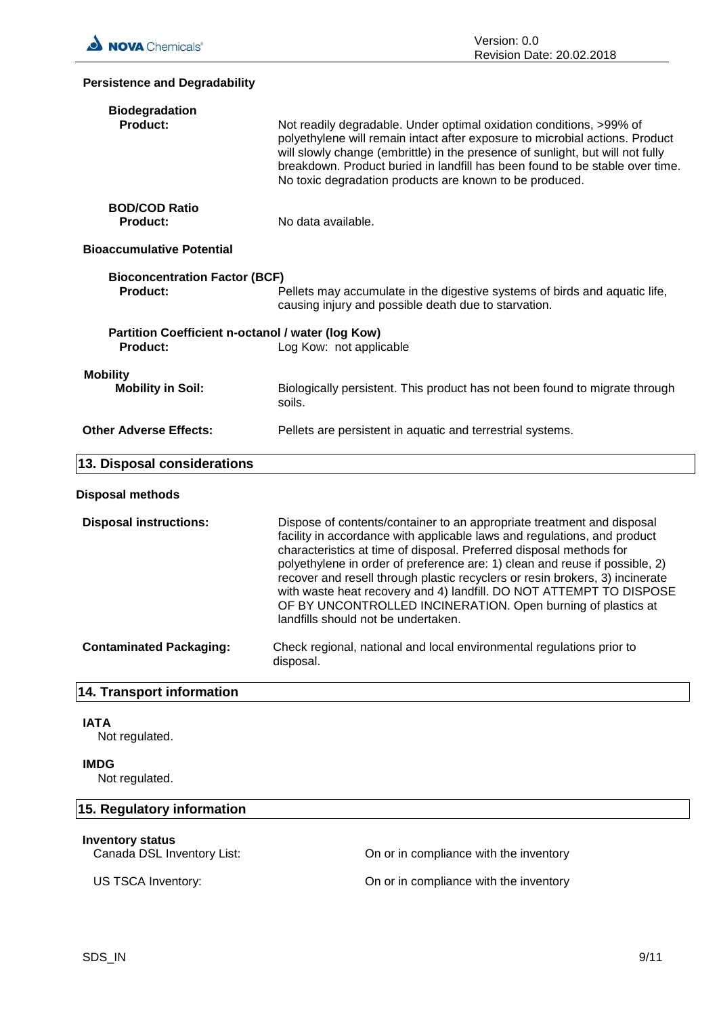# **Persistence and Degradability Biodegradation** Not readily degradable. Under optimal oxidation conditions, >99% of polyethylene will remain intact after exposure to microbial actions. Product will slowly change (embrittle) in the presence of sunlight, but will not fully breakdown. Product buried in landfill has been found to be stable over time. No toxic degradation products are known to be produced. **BOD/COD Ratio Product:** No data available. **Bioaccumulative Potential Bioconcentration Factor (BCF) Product:** Pellets may accumulate in the digestive systems of birds and aquatic life, causing injury and possible death due to starvation. **Partition Coefficient n-octanol / water (log Kow) Product:** Log Kow: not applicable **Mobility Mobility in Soil:** Biologically persistent. This product has not been found to migrate through soils. **Other Adverse Effects:** Pellets are persistent in aquatic and terrestrial systems. **13. Disposal considerations Disposal methods Disposal instructions:** Dispose of contents/container to an appropriate treatment and disposal facility in accordance with applicable laws and regulations, and product characteristics at time of disposal. Preferred disposal methods for polyethylene in order of preference are: 1) clean and reuse if possible, 2) recover and resell through plastic recyclers or resin brokers, 3) incinerate with waste heat recovery and 4) landfill. DO NOT ATTEMPT TO DISPOSE OF BY UNCONTROLLED INCINERATION. Open burning of plastics at landfills should not be undertaken. **Contaminated Packaging:** Check regional, national and local environmental regulations prior to disposal. **14. Transport information IATA** Not regulated. **IMDG** Not regulated. **15. Regulatory information**

## **Inventory status**

Canada DSL Inventory List: On or in compliance with the inventory

US TSCA Inventory: On or in compliance with the inventory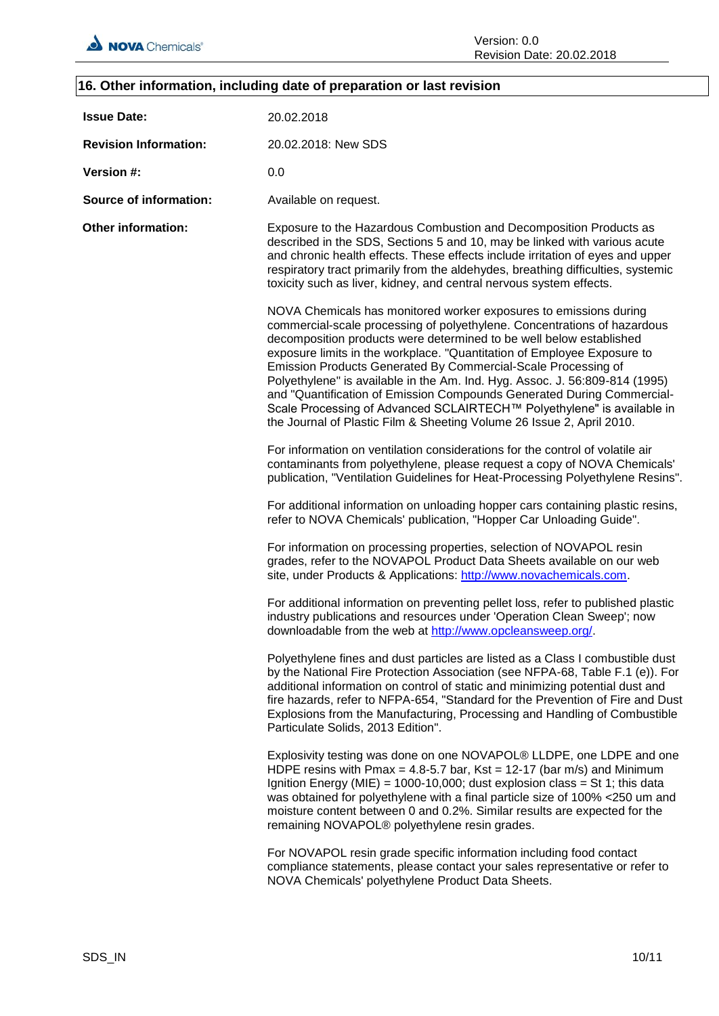## **16. Other information, including date of preparation or last revision**

| <b>Issue Date:</b>            | 20.02.2018                                                                                                                                                                                                                                                                                                                                                                                                                                                                                                                                                                                                                                                                   |
|-------------------------------|------------------------------------------------------------------------------------------------------------------------------------------------------------------------------------------------------------------------------------------------------------------------------------------------------------------------------------------------------------------------------------------------------------------------------------------------------------------------------------------------------------------------------------------------------------------------------------------------------------------------------------------------------------------------------|
| <b>Revision Information:</b>  | 20.02.2018: New SDS                                                                                                                                                                                                                                                                                                                                                                                                                                                                                                                                                                                                                                                          |
| Version #:                    | 0.0                                                                                                                                                                                                                                                                                                                                                                                                                                                                                                                                                                                                                                                                          |
| <b>Source of information:</b> | Available on request.                                                                                                                                                                                                                                                                                                                                                                                                                                                                                                                                                                                                                                                        |
| <b>Other information:</b>     | Exposure to the Hazardous Combustion and Decomposition Products as<br>described in the SDS, Sections 5 and 10, may be linked with various acute<br>and chronic health effects. These effects include irritation of eyes and upper<br>respiratory tract primarily from the aldehydes, breathing difficulties, systemic<br>toxicity such as liver, kidney, and central nervous system effects.                                                                                                                                                                                                                                                                                 |
|                               | NOVA Chemicals has monitored worker exposures to emissions during<br>commercial-scale processing of polyethylene. Concentrations of hazardous<br>decomposition products were determined to be well below established<br>exposure limits in the workplace. "Quantitation of Employee Exposure to<br>Emission Products Generated By Commercial-Scale Processing of<br>Polyethylene" is available in the Am. Ind. Hyg. Assoc. J. 56:809-814 (1995)<br>and "Quantification of Emission Compounds Generated During Commercial-<br>Scale Processing of Advanced SCLAIRTECH™ Polyethylene" is available in<br>the Journal of Plastic Film & Sheeting Volume 26 Issue 2, April 2010. |
|                               | For information on ventilation considerations for the control of volatile air<br>contaminants from polyethylene, please request a copy of NOVA Chemicals'<br>publication, "Ventilation Guidelines for Heat-Processing Polyethylene Resins".                                                                                                                                                                                                                                                                                                                                                                                                                                  |
|                               | For additional information on unloading hopper cars containing plastic resins,<br>refer to NOVA Chemicals' publication, "Hopper Car Unloading Guide".                                                                                                                                                                                                                                                                                                                                                                                                                                                                                                                        |
|                               | For information on processing properties, selection of NOVAPOL resin<br>grades, refer to the NOVAPOL Product Data Sheets available on our web<br>site, under Products & Applications: http://www.novachemicals.com.                                                                                                                                                                                                                                                                                                                                                                                                                                                          |
|                               | For additional information on preventing pellet loss, refer to published plastic<br>industry publications and resources under 'Operation Clean Sweep'; now<br>downloadable from the web at http://www.opcleansweep.org/.                                                                                                                                                                                                                                                                                                                                                                                                                                                     |
|                               | Polyethylene fines and dust particles are listed as a Class I combustible dust<br>by the National Fire Protection Association (see NFPA-68, Table F.1 (e)). For<br>additional information on control of static and minimizing potential dust and<br>fire hazards, refer to NFPA-654, "Standard for the Prevention of Fire and Dust<br>Explosions from the Manufacturing, Processing and Handling of Combustible<br>Particulate Solids, 2013 Edition".                                                                                                                                                                                                                        |
|                               | Explosivity testing was done on one NOVAPOL® LLDPE, one LDPE and one<br>HDPE resins with Pmax = 4.8-5.7 bar, Kst = 12-17 (bar m/s) and Minimum<br>Ignition Energy (MIE) = 1000-10,000; dust explosion class = St 1; this data<br>was obtained for polyethylene with a final particle size of 100% <250 um and<br>moisture content between 0 and 0.2%. Similar results are expected for the<br>remaining NOVAPOL® polyethylene resin grades.                                                                                                                                                                                                                                  |
|                               | For NOVAPOL resin grade specific information including food contact<br>compliance statements, please contact your sales representative or refer to<br>NOVA Chemicals' polyethylene Product Data Sheets.                                                                                                                                                                                                                                                                                                                                                                                                                                                                      |